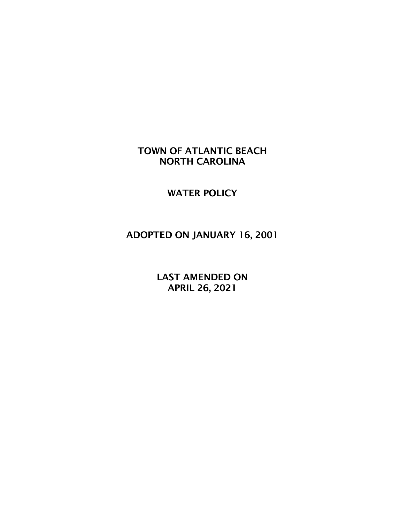## TOWN OF ATLANTIC BEACH NORTH CAROLINA

WATER POLICY

# ADOPTED ON JANUARY 16, 2001

 LAST AMENDED ON APRIL 26, 2021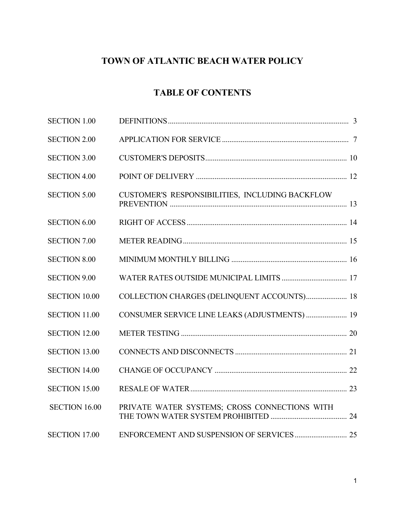# **TOWN OF ATLANTIC BEACH WATER POLICY**

## **TABLE OF CONTENTS**

| <b>SECTION 1.00</b>  |                                                 |  |
|----------------------|-------------------------------------------------|--|
| <b>SECTION 2.00</b>  |                                                 |  |
| <b>SECTION 3.00</b>  |                                                 |  |
| <b>SECTION 4.00</b>  |                                                 |  |
| <b>SECTION 5.00</b>  | CUSTOMER'S RESPONSIBILITIES, INCLUDING BACKFLOW |  |
| <b>SECTION 6.00</b>  |                                                 |  |
| <b>SECTION 7.00</b>  |                                                 |  |
| <b>SECTION 8.00</b>  |                                                 |  |
| <b>SECTION 9.00</b>  |                                                 |  |
| <b>SECTION 10.00</b> | COLLECTION CHARGES (DELINQUENT ACCOUNTS) 18     |  |
| <b>SECTION 11.00</b> | CONSUMER SERVICE LINE LEAKS (ADJUSTMENTS)  19   |  |
| <b>SECTION 12.00</b> |                                                 |  |
| <b>SECTION 13.00</b> |                                                 |  |
| <b>SECTION 14.00</b> |                                                 |  |
| <b>SECTION 15.00</b> |                                                 |  |
| <b>SECTION 16.00</b> | PRIVATE WATER SYSTEMS; CROSS CONNECTIONS WITH   |  |
| <b>SECTION 17.00</b> |                                                 |  |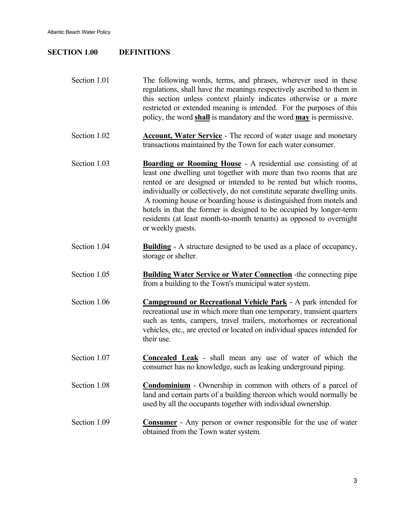#### **SECTION 1.00 DEFINITIONS**

| Section 1.01 | The following words, terms, and phrases, wherever used in these                   |
|--------------|-----------------------------------------------------------------------------------|
|              | regulations, shall have the meanings respectively ascribed to them in             |
|              | this section unless context plainly indicates otherwise or a more                 |
|              | restricted or extended meaning is intended. For the purposes of this              |
|              | policy, the word <b>shall</b> is mandatory and the word <b>may</b> is permissive. |

- Section 1.02 **Account, Water Service** The record of water usage and monetary transactions maintained by the Town for each water consumer.
- Section 1.03 **Boarding or Rooming House** A residential use consisting of at least one dwelling unit together with more than two rooms that are rented or are designed or intended to be rented but which rooms, individually or collectively, do not constitute separate dwelling units. A rooming house or boarding house is distinguished from motels and hotels in that the former is designed to be occupied by longer-term residents (at least month-to-month tenants) as opposed to overnight or weekly guests.
- Section 1.04 **Building** A structure designed to be used as a place of occupancy, storage or shelter.
- Section 1.05 **Building Water Service or Water Connection** -the connecting pipe from a building to the Town's municipal water system.
- Section 1.06 **Campground or Recreational Vehicle Park** A park intended for recreational use in which more than one temporary, transient quarters such as tents, campers, travel trailers, motorhomes or recreational vehicles, etc., are erected or located on individual spaces intended for their use.
- Section 1.07 **Concealed Leak** shall mean any use of water of which the consumer has no knowledge, such as leaking underground piping.
- Section 1.08 **Condominium** Ownership in common with others of a parcel of land and certain parts of a building thereon which would normally be used by all the occupants together with individual ownership.
- Section 1.09 **Consumer** Any person or owner responsible for the use of water obtained from the Town water system.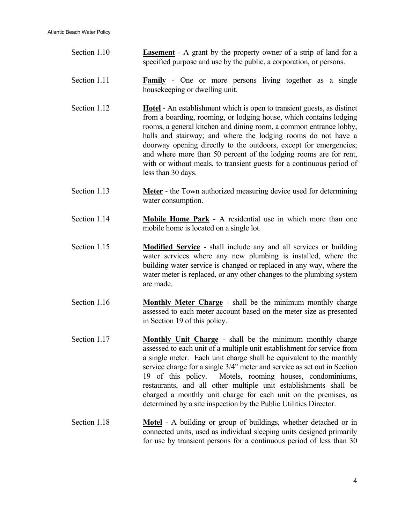| Section 1.10 | <b>Easement</b> - A grant by the property owner of a strip of land for a<br>specified purpose and use by the public, a corporation, or persons.                                                                                                                                                                                                                                                                                                                                                                                                                    |
|--------------|--------------------------------------------------------------------------------------------------------------------------------------------------------------------------------------------------------------------------------------------------------------------------------------------------------------------------------------------------------------------------------------------------------------------------------------------------------------------------------------------------------------------------------------------------------------------|
| Section 1.11 | Family - One or more persons living together as a single<br>housekeeping or dwelling unit.                                                                                                                                                                                                                                                                                                                                                                                                                                                                         |
| Section 1.12 | <b>Hotel</b> - An establishment which is open to transient guests, as distinct<br>from a boarding, rooming, or lodging house, which contains lodging<br>rooms, a general kitchen and dining room, a common entrance lobby,<br>halls and stairway; and where the lodging rooms do not have a<br>doorway opening directly to the outdoors, except for emergencies;<br>and where more than 50 percent of the lodging rooms are for rent,<br>with or without meals, to transient guests for a continuous period of<br>less than 30 days.                               |
| Section 1.13 | <b>Meter</b> - the Town authorized measuring device used for determining<br>water consumption.                                                                                                                                                                                                                                                                                                                                                                                                                                                                     |
| Section 1.14 | <b>Mobile Home Park</b> - A residential use in which more than one<br>mobile home is located on a single lot.                                                                                                                                                                                                                                                                                                                                                                                                                                                      |
| Section 1.15 | <b>Modified Service</b> - shall include any and all services or building<br>water services where any new plumbing is installed, where the<br>building water service is changed or replaced in any way, where the<br>water meter is replaced, or any other changes to the plumbing system<br>are made.                                                                                                                                                                                                                                                              |
| Section 1.16 | <b>Monthly Meter Charge</b> - shall be the minimum monthly charge<br>assessed to each meter account based on the meter size as presented<br>in Section 19 of this policy.                                                                                                                                                                                                                                                                                                                                                                                          |
| Section 1.17 | Monthly Unit Charge - shall be the minimum monthly charge<br>assessed to each unit of a multiple unit establishment for service from<br>a single meter. Each unit charge shall be equivalent to the monthly<br>service charge for a single 3/4" meter and service as set out in Section<br>19 of this policy.<br>Motels, rooming houses, condominiums,<br>restaurants, and all other multiple unit establishments shall be<br>charged a monthly unit charge for each unit on the premises, as<br>determined by a site inspection by the Public Utilities Director. |
| Section 1.18 | Motel - A building or group of buildings, whether detached or in<br>connected units, used as individual sleeping units designed primarily<br>for use by transient persons for a continuous period of less than 30                                                                                                                                                                                                                                                                                                                                                  |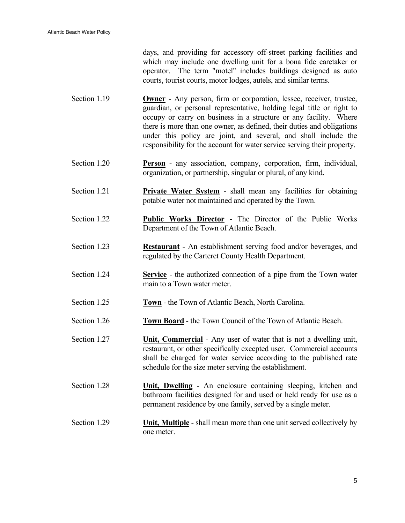days, and providing for accessory off-street parking facilities and which may include one dwelling unit for a bona fide caretaker or operator. The term "motel" includes buildings designed as auto courts, tourist courts, motor lodges, autels, and similar terms.

- Section 1.19 **Owner** Any person, firm or corporation, lessee, receiver, trustee, guardian, or personal representative, holding legal title or right to occupy or carry on business in a structure or any facility. Where there is more than one owner, as defined, their duties and obligations under this policy are joint, and several, and shall include the responsibility for the account for water service serving their property.
- Section 1.20 **Person** any association, company, corporation, firm, individual, organization, or partnership, singular or plural, of any kind.
- Section 1.21 **Private Water System** shall mean any facilities for obtaining potable water not maintained and operated by the Town.
- Section 1.22 **Public Works Director** The Director of the Public Works Department of the Town of Atlantic Beach.
- Section 1.23 **Restaurant** An establishment serving food and/or beverages, and regulated by the Carteret County Health Department.
- Section 1.24 **Service** the authorized connection of a pipe from the Town water main to a Town water meter.
- Section 1.25 **Town** the Town of Atlantic Beach, North Carolina.
- Section 1.26 **Town Board** the Town Council of the Town of Atlantic Beach.
- Section 1.27 **Unit, Commercial** Any user of water that is not a dwelling unit, restaurant, or other specifically excepted user. Commercial accounts shall be charged for water service according to the published rate schedule for the size meter serving the establishment.
- Section 1.28 **Unit, Dwelling** An enclosure containing sleeping, kitchen and bathroom facilities designed for and used or held ready for use as a permanent residence by one family, served by a single meter.
- Section 1.29 **Unit, Multiple** shall mean more than one unit served collectively by one meter.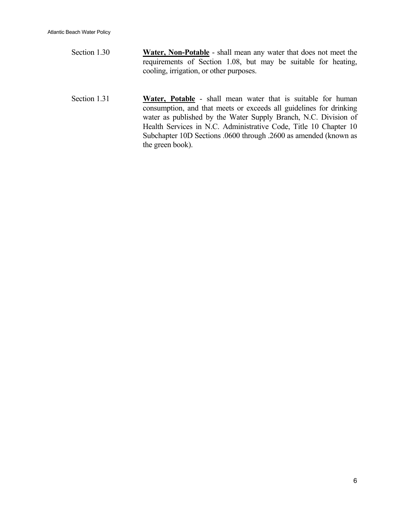- Section 1.30 **Water, Non-Potable** shall mean any water that does not meet the requirements of Section 1.08, but may be suitable for heating, cooling, irrigation, or other purposes.
- Section 1.31 **Water, Potable** shall mean water that is suitable for human consumption, and that meets or exceeds all guidelines for drinking water as published by the Water Supply Branch, N.C. Division of Health Services in N.C. Administrative Code, Title 10 Chapter 10 Subchapter 10D Sections .0600 through .2600 as amended (known as the green book).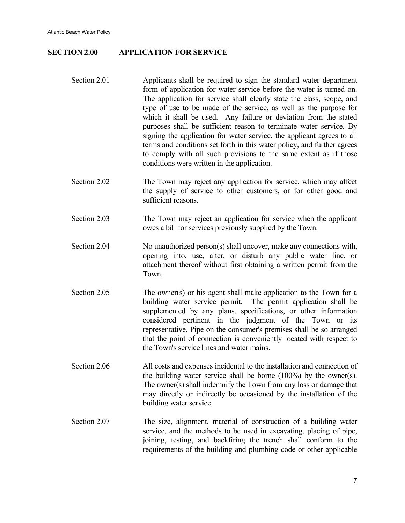#### **SECTION 2.00 APPLICATION FOR SERVICE**

- Section 2.01 Applicants shall be required to sign the standard water department form of application for water service before the water is turned on. The application for service shall clearly state the class, scope, and type of use to be made of the service, as well as the purpose for which it shall be used. Any failure or deviation from the stated purposes shall be sufficient reason to terminate water service. By signing the application for water service, the applicant agrees to all terms and conditions set forth in this water policy, and further agrees to comply with all such provisions to the same extent as if those conditions were written in the application.
- Section 2.02 The Town may reject any application for service, which may affect the supply of service to other customers, or for other good and sufficient reasons.
- Section 2.03 The Town may reject an application for service when the applicant owes a bill for services previously supplied by the Town.
- Section 2.04 No unauthorized person(s) shall uncover, make any connections with, opening into, use, alter, or disturb any public water line, or attachment thereof without first obtaining a written permit from the Town.
- Section 2.05 The owner(s) or his agent shall make application to the Town for a building water service permit. The permit application shall be supplemented by any plans, specifications, or other information considered pertinent in the judgment of the Town or its representative. Pipe on the consumer's premises shall be so arranged that the point of connection is conveniently located with respect to the Town's service lines and water mains.
- Section 2.06 All costs and expenses incidental to the installation and connection of the building water service shall be borne (100%) by the owner(s). The owner(s) shall indemnify the Town from any loss or damage that may directly or indirectly be occasioned by the installation of the building water service.
- Section 2.07 The size, alignment, material of construction of a building water service, and the methods to be used in excavating, placing of pipe, joining, testing, and backfiring the trench shall conform to the requirements of the building and plumbing code or other applicable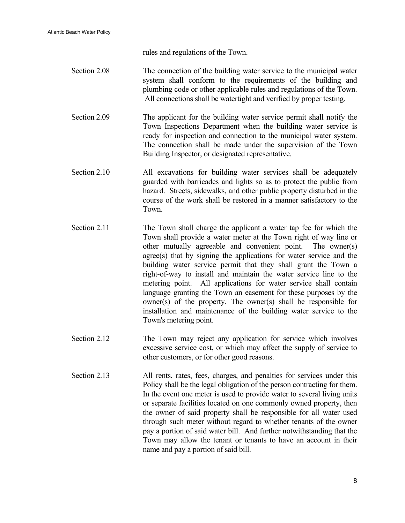rules and regulations of the Town.

- Section 2.08 The connection of the building water service to the municipal water system shall conform to the requirements of the building and plumbing code or other applicable rules and regulations of the Town. All connections shall be watertight and verified by proper testing.
- Section 2.09 The applicant for the building water service permit shall notify the Town Inspections Department when the building water service is ready for inspection and connection to the municipal water system. The connection shall be made under the supervision of the Town Building Inspector, or designated representative.
- Section 2.10 All excavations for building water services shall be adequately guarded with barricades and lights so as to protect the public from hazard. Streets, sidewalks, and other public property disturbed in the course of the work shall be restored in a manner satisfactory to the Town.
- Section 2.11 The Town shall charge the applicant a water tap fee for which the Town shall provide a water meter at the Town right of way line or other mutually agreeable and convenient point. The owner(s) agree(s) that by signing the applications for water service and the building water service permit that they shall grant the Town a right-of-way to install and maintain the water service line to the metering point. All applications for water service shall contain language granting the Town an easement for these purposes by the owner(s) of the property. The owner(s) shall be responsible for installation and maintenance of the building water service to the Town's metering point.
- Section 2.12 The Town may reject any application for service which involves excessive service cost, or which may affect the supply of service to other customers, or for other good reasons.
- Section 2.13 All rents, rates, fees, charges, and penalties for services under this Policy shall be the legal obligation of the person contracting for them. In the event one meter is used to provide water to several living units or separate facilities located on one commonly owned property, then the owner of said property shall be responsible for all water used through such meter without regard to whether tenants of the owner pay a portion of said water bill. And further notwithstanding that the Town may allow the tenant or tenants to have an account in their name and pay a portion of said bill.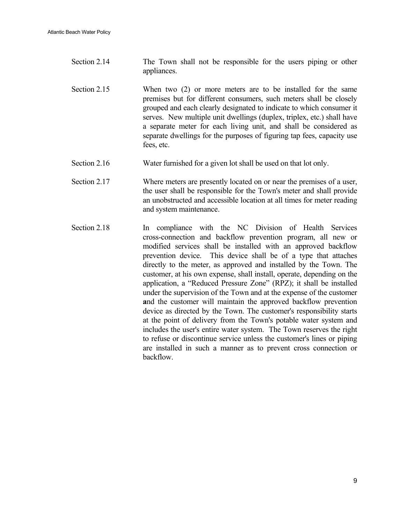- Section 2.14 The Town shall not be responsible for the users piping or other appliances.
- Section 2.15 When two (2) or more meters are to be installed for the same premises but for different consumers, such meters shall be closely grouped and each clearly designated to indicate to which consumer it serves. New multiple unit dwellings (duplex, triplex, etc.) shall have a separate meter for each living unit, and shall be considered as separate dwellings for the purposes of figuring tap fees, capacity use fees, etc.
- Section 2.16 Water furnished for a given lot shall be used on that lot only.
- Section 2.17 Where meters are presently located on or near the premises of a user, the user shall be responsible for the Town's meter and shall provide an unobstructed and accessible location at all times for meter reading and system maintenance.
- Section 2.18 In compliance with the NC Division of Health Services cross-connection and backflow prevention program, all new or modified services shall be installed with an approved backflow prevention device. This device shall be of a type that attaches directly to the meter, as approved and installed by the Town. The customer, at his own expense, shall install, operate, depending on the application, a "Reduced Pressure Zone" (RPZ); it shall be installed under the supervision of the Town and at the expense of the customer **a**nd the customer will maintain the approved backflow prevention device as directed by the Town. The customer's responsibility starts at the point of delivery from the Town's potable water system and includes the user's entire water system. The Town reserves the right to refuse or discontinue service unless the customer's lines or piping are installed in such a manner as to prevent cross connection or backflow.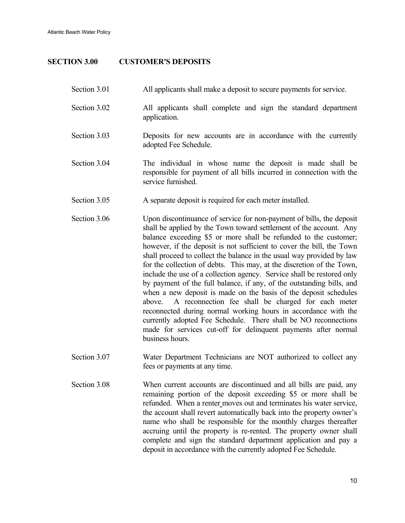Atlantic Beach Water Policy

#### **SECTION 3.00 CUSTOMER'S DEPOSITS**

- Section 3.01 All applicants shall make a deposit to secure payments for service. Section 3.02 All applicants shall complete and sign the standard department application. Section 3.03 Deposits for new accounts are in accordance with the currently adopted Fee Schedule. Section 3.04 The individual in whose name the deposit is made shall be responsible for payment of all bills incurred in connection with the service furnished. Section 3.05 A separate deposit is required for each meter installed. Section 3.06 Upon discontinuance of service for non-payment of bills, the deposit shall be applied by the Town toward settlement of the account. Any balance exceeding \$5 or more shall be refunded to the customer; however, if the deposit is not sufficient to cover the bill, the Town shall proceed to collect the balance in the usual way provided by law for the collection of debts. This may, at the discretion of the Town, include the use of a collection agency. Service shall be restored only by payment of the full balance, if any, of the outstanding bills, and when a new deposit is made on the basis of the deposit schedules above. A reconnection fee shall be charged for each meter reconnected during normal working hours in accordance with the currently adopted Fee Schedule. There shall be NO reconnections made for services cut-off for delinquent payments after normal business hours.
- Section 3.07 Water Department Technicians are NOT authorized to collect any fees or payments at any time.
- Section 3.08 When current accounts are discontinued and all bills are paid, any remaining portion of the deposit exceeding \$5 or more shall be refunded. When a renter moves out and terminates his water service, the account shall revert automatically back into the property owner's name who shall be responsible for the monthly charges thereafter accruing until the property is re-rented. The property owner shall complete and sign the standard department application and pay a deposit in accordance with the currently adopted Fee Schedule.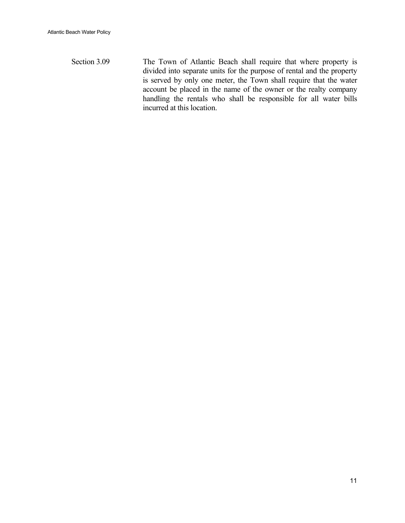Section 3.09 The Town of Atlantic Beach shall require that where property is divided into separate units for the purpose of rental and the property is served by only one meter, the Town shall require that the water account be placed in the name of the owner or the realty company handling the rentals who shall be responsible for all water bills incurred at this location.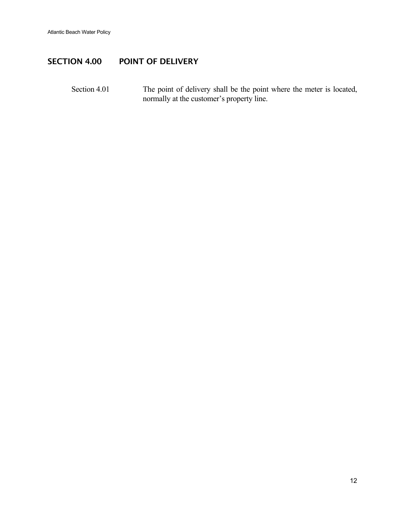### SECTION 4.00 POINT OF DELIVERY

Section 4.01 The point of delivery shall be the point where the meter is located, normally at the customer's property line.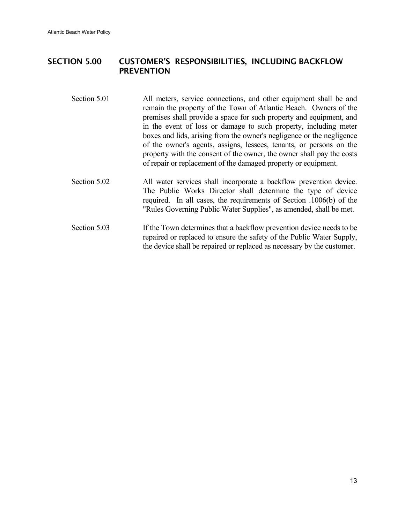### SECTION 5.00 CUSTOMER'S RESPONSIBILITIES, INCLUDING BACKFLOW PREVENTION

- Section 5.01 All meters, service connections, and other equipment shall be and remain the property of the Town of Atlantic Beach. Owners of the premises shall provide a space for such property and equipment, and in the event of loss or damage to such property, including meter boxes and lids, arising from the owner's negligence or the negligence of the owner's agents, assigns, lessees, tenants, or persons on the property with the consent of the owner, the owner shall pay the costs of repair or replacement of the damaged property or equipment.
- Section 5.02 All water services shall incorporate a backflow prevention device. The Public Works Director shall determine the type of device required. In all cases, the requirements of Section .1006(b) of the "Rules Governing Public Water Supplies", as amended, shall be met.
- Section 5.03 If the Town determines that a backflow prevention device needs to be repaired or replaced to ensure the safety of the Public Water Supply, the device shall be repaired or replaced as necessary by the customer.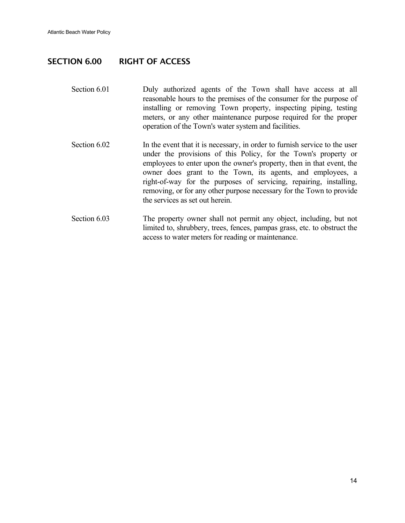#### SECTION 6.00 RIGHT OF ACCESS

- Section 6.01 **Duly** authorized agents of the Town shall have access at all reasonable hours to the premises of the consumer for the purpose of installing or removing Town property, inspecting piping, testing meters, or any other maintenance purpose required for the proper operation of the Town's water system and facilities.
- Section 6.02 In the event that it is necessary, in order to furnish service to the user under the provisions of this Policy, for the Town's property or employees to enter upon the owner's property, then in that event, the owner does grant to the Town, its agents, and employees, a right-of-way for the purposes of servicing, repairing, installing, removing, or for any other purpose necessary for the Town to provide the services as set out herein.
- Section 6.03 The property owner shall not permit any object, including, but not limited to, shrubbery, trees, fences, pampas grass, etc. to obstruct the access to water meters for reading or maintenance.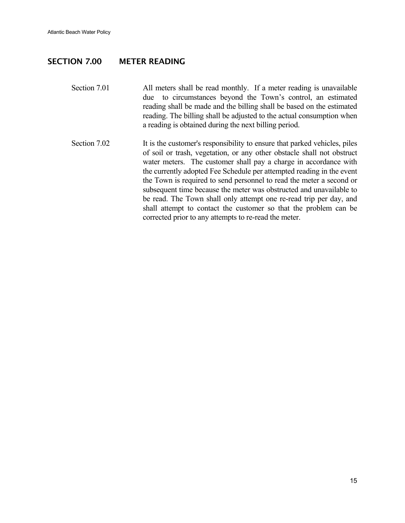#### SECTION 7.00 METER READING

- Section 7.01 All meters shall be read monthly. If a meter reading is unavailable due to circumstances beyond the Town's control, an estimated reading shall be made and the billing shall be based on the estimated reading. The billing shall be adjusted to the actual consumption when a reading is obtained during the next billing period.
- Section 7.02 It is the customer's responsibility to ensure that parked vehicles, piles of soil or trash, vegetation, or any other obstacle shall not obstruct water meters. The customer shall pay a charge in accordance with the currently adopted Fee Schedule per attempted reading in the event the Town is required to send personnel to read the meter a second or subsequent time because the meter was obstructed and unavailable to be read. The Town shall only attempt one re-read trip per day, and shall attempt to contact the customer so that the problem can be corrected prior to any attempts to re-read the meter.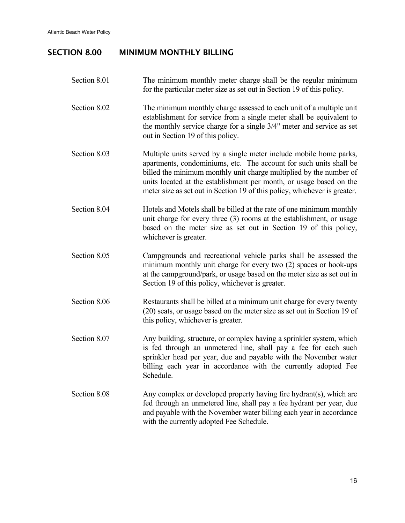## SECTION 8.00 MINIMUM MONTHLY BILLING

| Section 8.01 | The minimum monthly meter charge shall be the regular minimum<br>for the particular meter size as set out in Section 19 of this policy.                                                                                                                                                                                                                            |
|--------------|--------------------------------------------------------------------------------------------------------------------------------------------------------------------------------------------------------------------------------------------------------------------------------------------------------------------------------------------------------------------|
| Section 8.02 | The minimum monthly charge assessed to each unit of a multiple unit<br>establishment for service from a single meter shall be equivalent to<br>the monthly service charge for a single 3/4" meter and service as set<br>out in Section 19 of this policy.                                                                                                          |
| Section 8.03 | Multiple units served by a single meter include mobile home parks,<br>apartments, condominiums, etc. The account for such units shall be<br>billed the minimum monthly unit charge multiplied by the number of<br>units located at the establishment per month, or usage based on the<br>meter size as set out in Section 19 of this policy, whichever is greater. |
| Section 8.04 | Hotels and Motels shall be billed at the rate of one minimum monthly<br>unit charge for every three (3) rooms at the establishment, or usage<br>based on the meter size as set out in Section 19 of this policy,<br>whichever is greater.                                                                                                                          |
| Section 8.05 | Campgrounds and recreational vehicle parks shall be assessed the<br>minimum monthly unit charge for every two (2) spaces or hook-ups<br>at the campground/park, or usage based on the meter size as set out in<br>Section 19 of this policy, whichever is greater.                                                                                                 |
| Section 8.06 | Restaurants shall be billed at a minimum unit charge for every twenty<br>(20) seats, or usage based on the meter size as set out in Section 19 of<br>this policy, whichever is greater.                                                                                                                                                                            |
| Section 8.07 | Any building, structure, or complex having a sprinkler system, which<br>is fed through an unmetered line, shall pay a fee for each such<br>sprinkler head per year, due and payable with the November water<br>billing each year in accordance with the currently adopted Fee<br>Schedule.                                                                         |
| Section 8.08 | Any complex or developed property having fire hydrant(s), which are<br>fed through an unmetered line, shall pay a fee hydrant per year, due<br>and payable with the November water billing each year in accordance<br>with the currently adopted Fee Schedule.                                                                                                     |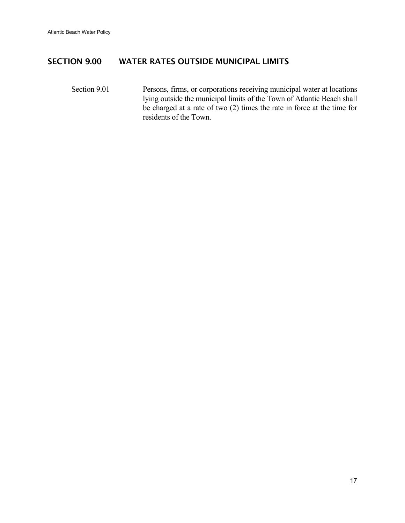#### SECTION 9.00 WATER RATES OUTSIDE MUNICIPAL LIMITS

Section 9.01 Persons, firms, or corporations receiving municipal water at locations lying outside the municipal limits of the Town of Atlantic Beach shall be charged at a rate of two (2) times the rate in force at the time for residents of the Town.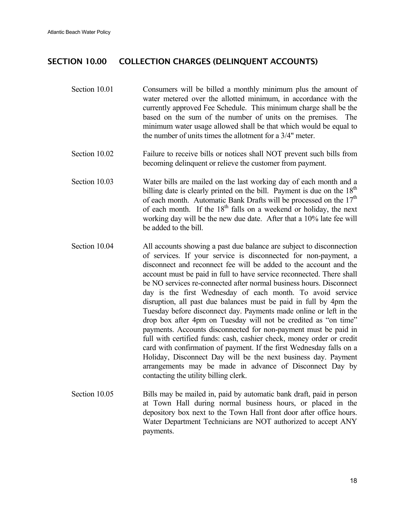#### SECTION 10.00 COLLECTION CHARGES (DELINQUENT ACCOUNTS)

- Section 10.01 Consumers will be billed a monthly minimum plus the amount of water metered over the allotted minimum, in accordance with the currently approved Fee Schedule. This minimum charge shall be the based on the sum of the number of units on the premises. The minimum water usage allowed shall be that which would be equal to the number of units times the allotment for a 3/4" meter.
- Section 10.02 Failure to receive bills or notices shall NOT prevent such bills from becoming delinquent or relieve the customer from payment.
- Section 10.03 Water bills are mailed on the last working day of each month and a billing date is clearly printed on the bill. Payment is due on the  $18<sup>th</sup>$ of each month. Automatic Bank Drafts will be processed on the  $17<sup>th</sup>$ of each month. If the  $18<sup>th</sup>$  falls on a weekend or holiday, the next working day will be the new due date. After that a 10% late fee will be added to the bill.
- Section 10.04 All accounts showing a past due balance are subject to disconnection of services. If your service is disconnected for non-payment, a disconnect and reconnect fee will be added to the account and the account must be paid in full to have service reconnected. There shall be NO services re-connected after normal business hours. Disconnect day is the first Wednesday of each month. To avoid service disruption, all past due balances must be paid in full by 4pm the Tuesday before disconnect day. Payments made online or left in the drop box after 4pm on Tuesday will not be credited as "on time" payments. Accounts disconnected for non-payment must be paid in full with certified funds: cash, cashier check, money order or credit card with confirmation of payment. If the first Wednesday falls on a Holiday, Disconnect Day will be the next business day. Payment arrangements may be made in advance of Disconnect Day by contacting the utility billing clerk.
- Section 10.05 Bills may be mailed in, paid by automatic bank draft, paid in person at Town Hall during normal business hours, or placed in the depository box next to the Town Hall front door after office hours. Water Department Technicians are NOT authorized to accept ANY payments.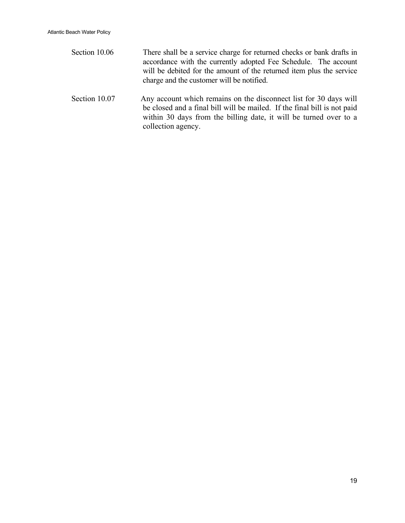Section 10.06 There shall be a service charge for returned checks or bank drafts in accordance with the currently adopted Fee Schedule. The account will be debited for the amount of the returned item plus the service charge and the customer will be notified. Section 10.07 Any account which remains on the disconnect list for 30 days will be closed and a final bill will be mailed. If the final bill is not paid within 30 days from the billing date, it will be turned over to a

collection agency.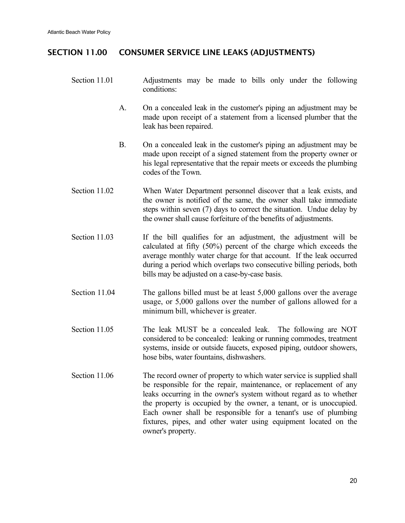### SECTION 11.00 CONSUMER SERVICE LINE LEAKS (ADJUSTMENTS)

- Section 11.01 Adjustments may be made to bills only under the following conditions:
	- A. On a concealed leak in the customer's piping an adjustment may be made upon receipt of a statement from a licensed plumber that the leak has been repaired.
	- B. On a concealed leak in the customer's piping an adjustment may be made upon receipt of a signed statement from the property owner or his legal representative that the repair meets or exceeds the plumbing codes of the Town.
- Section 11.02 When Water Department personnel discover that a leak exists, and the owner is notified of the same, the owner shall take immediate steps within seven (7) days to correct the situation. Undue delay by the owner shall cause forfeiture of the benefits of adjustments.
- Section 11.03 If the bill qualifies for an adjustment, the adjustment will be calculated at fifty (50%) percent of the charge which exceeds the average monthly water charge for that account. If the leak occurred during a period which overlaps two consecutive billing periods, both bills may be adjusted on a case-by-case basis.
- Section 11.04 The gallons billed must be at least 5,000 gallons over the average usage, or 5,000 gallons over the number of gallons allowed for a minimum bill, whichever is greater.
- Section 11.05 The leak MUST be a concealed leak. The following are NOT considered to be concealed: leaking or running commodes, treatment systems, inside or outside faucets, exposed piping, outdoor showers, hose bibs, water fountains, dishwashers.
- Section 11.06 The record owner of property to which water service is supplied shall be responsible for the repair, maintenance, or replacement of any leaks occurring in the owner's system without regard as to whether the property is occupied by the owner, a tenant, or is unoccupied. Each owner shall be responsible for a tenant's use of plumbing fixtures, pipes, and other water using equipment located on the owner's property.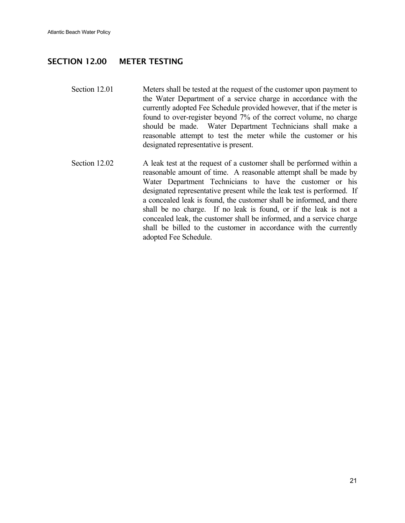#### SECTION 12.00 METER TESTING

- Section 12.01 Meters shall be tested at the request of the customer upon payment to the Water Department of a service charge in accordance with the currently adopted Fee Schedule provided however, that if the meter is found to over-register beyond 7% of the correct volume, no charge should be made. Water Department Technicians shall make a reasonable attempt to test the meter while the customer or his designated representative is present.
- Section 12.02 A leak test at the request of a customer shall be performed within a reasonable amount of time. A reasonable attempt shall be made by Water Department Technicians to have the customer or his designated representative present while the leak test is performed. If a concealed leak is found, the customer shall be informed, and there shall be no charge. If no leak is found, or if the leak is not a concealed leak, the customer shall be informed, and a service charge shall be billed to the customer in accordance with the currently adopted Fee Schedule.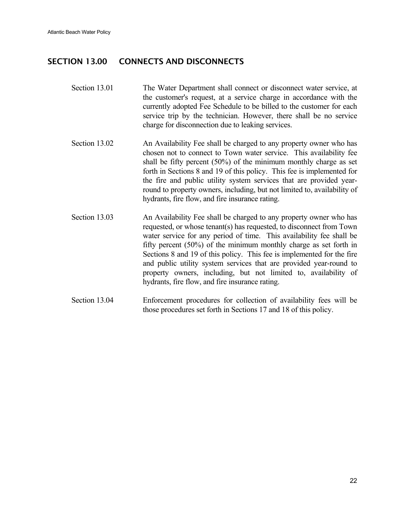### SECTION 13.00 CONNECTS AND DISCONNECTS

- Section 13.01 The Water Department shall connect or disconnect water service, at the customer's request, at a service charge in accordance with the currently adopted Fee Schedule to be billed to the customer for each service trip by the technician. However, there shall be no service charge for disconnection due to leaking services.
- Section 13.02 An Availability Fee shall be charged to any property owner who has chosen not to connect to Town water service. This availability fee shall be fifty percent (50%) of the minimum monthly charge as set forth in Sections 8 and 19 of this policy. This fee is implemented for the fire and public utility system services that are provided yearround to property owners, including, but not limited to, availability of hydrants, fire flow, and fire insurance rating.
- Section 13.03 An Availability Fee shall be charged to any property owner who has requested, or whose tenant(s) has requested, to disconnect from Town water service for any period of time. This availability fee shall be fifty percent (50%) of the minimum monthly charge as set forth in Sections 8 and 19 of this policy. This fee is implemented for the fire and public utility system services that are provided year-round to property owners, including, but not limited to, availability of hydrants, fire flow, and fire insurance rating.
- Section 13.04 Enforcement procedures for collection of availability fees will be those procedures set forth in Sections 17 and 18 of this policy.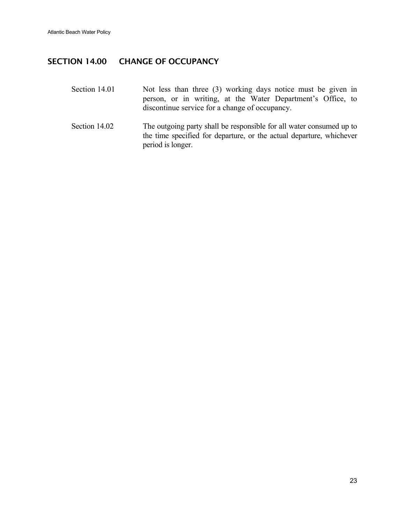#### SECTION 14.00 CHANGE OF OCCUPANCY

- Section 14.01 Not less than three (3) working days notice must be given in person, or in writing, at the Water Department's Office, to discontinue service for a change of occupancy.
- Section 14.02 The outgoing party shall be responsible for all water consumed up to the time specified for departure, or the actual departure, whichever period is longer.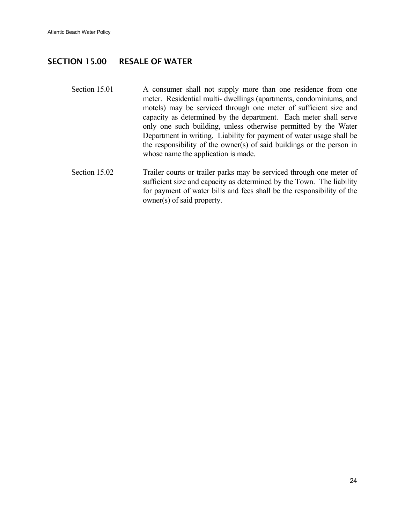#### SECTION 15.00 RESALE OF WATER

- Section 15.01 A consumer shall not supply more than one residence from one meter. Residential multi- dwellings (apartments, condominiums, and motels) may be serviced through one meter of sufficient size and capacity as determined by the department. Each meter shall serve only one such building, unless otherwise permitted by the Water Department in writing. Liability for payment of water usage shall be the responsibility of the owner(s) of said buildings or the person in whose name the application is made.
- Section 15.02 Trailer courts or trailer parks may be serviced through one meter of sufficient size and capacity as determined by the Town. The liability for payment of water bills and fees shall be the responsibility of the owner(s) of said property.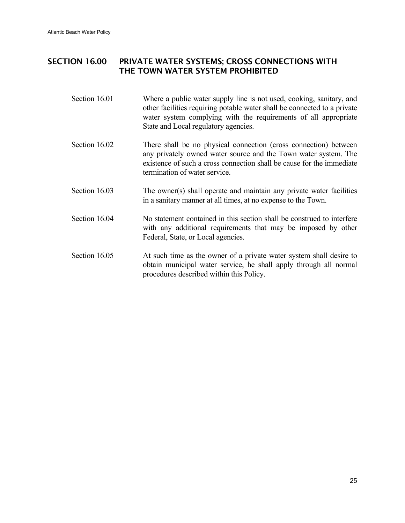### SECTION 16.00 PRIVATE WATER SYSTEMS; CROSS CONNECTIONS WITH THE TOWN WATER SYSTEM PROHIBITED

- Section 16.01 Where a public water supply line is not used, cooking, sanitary, and other facilities requiring potable water shall be connected to a private water system complying with the requirements of all appropriate State and Local regulatory agencies.
- Section 16.02 There shall be no physical connection (cross connection) between any privately owned water source and the Town water system. The existence of such a cross connection shall be cause for the immediate termination of water service.
- Section 16.03 The owner(s) shall operate and maintain any private water facilities in a sanitary manner at all times, at no expense to the Town.
- Section 16.04 No statement contained in this section shall be construed to interfere with any additional requirements that may be imposed by other Federal, State, or Local agencies.
- Section 16.05 At such time as the owner of a private water system shall desire to obtain municipal water service, he shall apply through all normal procedures described within this Policy.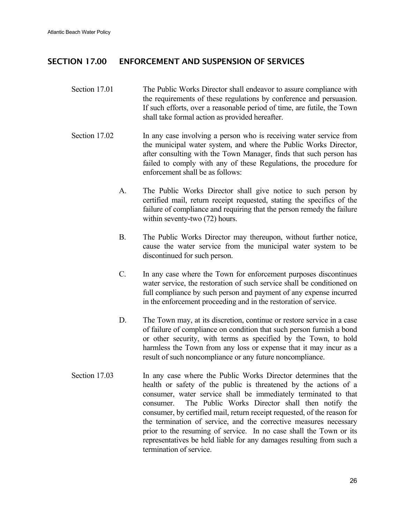#### SECTION 17.00 ENFORCEMENT AND SUSPENSION OF SERVICES

- Section 17.01 The Public Works Director shall endeavor to assure compliance with the requirements of these regulations by conference and persuasion. If such efforts, over a reasonable period of time, are futile, the Town shall take formal action as provided hereafter.
- Section 17.02 In any case involving a person who is receiving water service from the municipal water system, and where the Public Works Director, after consulting with the Town Manager, finds that such person has failed to comply with any of these Regulations, the procedure for enforcement shall be as follows:
	- A. The Public Works Director shall give notice to such person by certified mail, return receipt requested, stating the specifics of the failure of compliance and requiring that the person remedy the failure within seventy-two (72) hours.
	- B. The Public Works Director may thereupon, without further notice, cause the water service from the municipal water system to be discontinued for such person.
	- C. In any case where the Town for enforcement purposes discontinues water service, the restoration of such service shall be conditioned on full compliance by such person and payment of any expense incurred in the enforcement proceeding and in the restoration of service.
	- D. The Town may, at its discretion, continue or restore service in a case of failure of compliance on condition that such person furnish a bond or other security, with terms as specified by the Town, to hold harmless the Town from any loss or expense that it may incur as a result of such noncompliance or any future noncompliance.
- Section 17.03 In any case where the Public Works Director determines that the health or safety of the public is threatened by the actions of a consumer, water service shall be immediately terminated to that consumer. The Public Works Director shall then notify the consumer, by certified mail, return receipt requested, of the reason for the termination of service, and the corrective measures necessary prior to the resuming of service. In no case shall the Town or its representatives be held liable for any damages resulting from such a termination of service.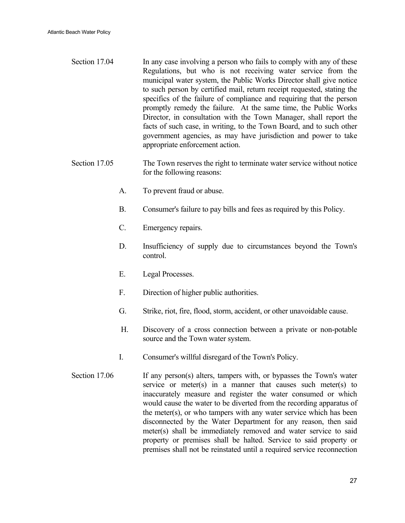- Section 17.04 In any case involving a person who fails to comply with any of these Regulations, but who is not receiving water service from the municipal water system, the Public Works Director shall give notice to such person by certified mail, return receipt requested, stating the specifics of the failure of compliance and requiring that the person promptly remedy the failure. At the same time, the Public Works Director, in consultation with the Town Manager, shall report the facts of such case, in writing, to the Town Board, and to such other government agencies, as may have jurisdiction and power to take appropriate enforcement action.
- Section 17.05 The Town reserves the right to terminate water service without notice for the following reasons:
	- A. To prevent fraud or abuse.
	- B. Consumer's failure to pay bills and fees as required by this Policy.
	- C. Emergency repairs.
	- D. Insufficiency of supply due to circumstances beyond the Town's control.
	- E. Legal Processes.
	- F. Direction of higher public authorities.
	- G. Strike, riot, fire, flood, storm, accident, or other unavoidable cause.
	- H. Discovery of a cross connection between a private or non-potable source and the Town water system.
	- I. Consumer's willful disregard of the Town's Policy.
- Section  $17.06$  If any person(s) alters, tampers with, or bypasses the Town's water service or meter(s) in a manner that causes such meter(s) to inaccurately measure and register the water consumed or which would cause the water to be diverted from the recording apparatus of the meter(s), or who tampers with any water service which has been disconnected by the Water Department for any reason, then said meter(s) shall be immediately removed and water service to said property or premises shall be halted. Service to said property or premises shall not be reinstated until a required service reconnection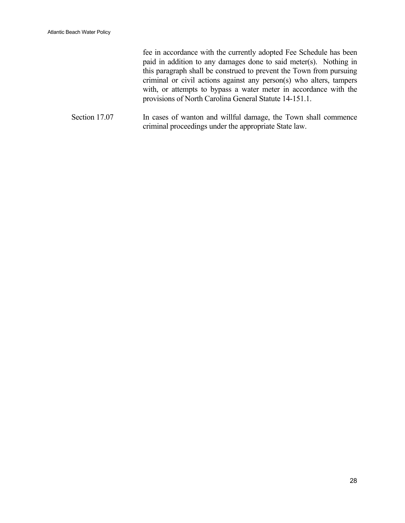fee in accordance with the currently adopted Fee Schedule has been paid in addition to any damages done to said meter(s). Nothing in this paragraph shall be construed to prevent the Town from pursuing criminal or civil actions against any person(s) who alters, tampers with, or attempts to bypass a water meter in accordance with the provisions of North Carolina General Statute 14-151.1.

Section 17.07 In cases of wanton and willful damage, the Town shall commence criminal proceedings under the appropriate State law.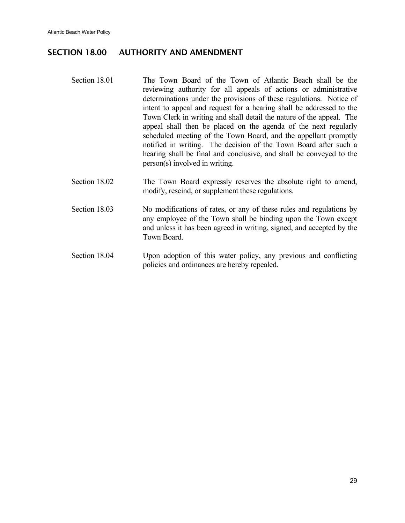## SECTION 18.00 AUTHORITY AND AMENDMENT

| Section 18.01 | The Town Board of the Town of Atlantic Beach shall be the<br>reviewing authority for all appeals of actions or administrative<br>determinations under the provisions of these regulations. Notice of<br>intent to appeal and request for a hearing shall be addressed to the<br>Town Clerk in writing and shall detail the nature of the appeal. The<br>appeal shall then be placed on the agenda of the next regularly<br>scheduled meeting of the Town Board, and the appellant promptly<br>notified in writing. The decision of the Town Board after such a<br>hearing shall be final and conclusive, and shall be conveyed to the<br>person(s) involved in writing. |
|---------------|-------------------------------------------------------------------------------------------------------------------------------------------------------------------------------------------------------------------------------------------------------------------------------------------------------------------------------------------------------------------------------------------------------------------------------------------------------------------------------------------------------------------------------------------------------------------------------------------------------------------------------------------------------------------------|
| Section 18.02 | The Town Board expressly reserves the absolute right to amend,<br>modify, rescind, or supplement these regulations.                                                                                                                                                                                                                                                                                                                                                                                                                                                                                                                                                     |
| Section 18.03 | No modifications of rates, or any of these rules and regulations by<br>$0.1 \quad \text{m} \qquad 1.111 \quad 1 \cdot 1 \cdot 1 \cdot 1 \qquad 1 \quad \text{m}$                                                                                                                                                                                                                                                                                                                                                                                                                                                                                                        |

- any employee of the Town shall be binding upon the Town except and unless it has been agreed in writing, signed, and accepted by the Town Board.
- Section 18.04 Upon adoption of this water policy, any previous and conflicting policies and ordinances are hereby repealed.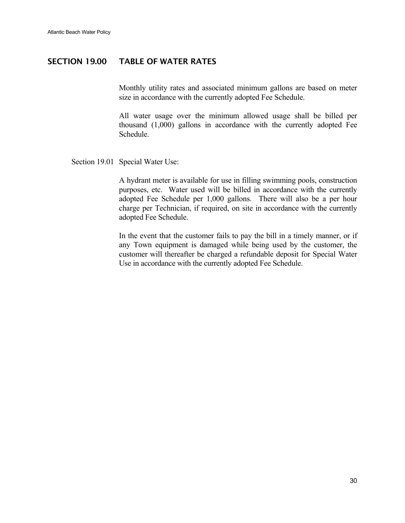#### SECTION 19.00 TABLE OF WATER RATES

Monthly utility rates and associated minimum gallons are based on meter size in accordance with the currently adopted Fee Schedule.

 All water usage over the minimum allowed usage shall be billed per thousand (1,000) gallons in accordance with the currently adopted Fee Schedule.

Section 19.01 Special Water Use:

 A hydrant meter is available for use in filling swimming pools, construction purposes, etc. Water used will be billed in accordance with the currently adopted Fee Schedule per 1,000 gallons. There will also be a per hour charge per Technician, if required, on site in accordance with the currently adopted Fee Schedule.

 In the event that the customer fails to pay the bill in a timely manner, or if any Town equipment is damaged while being used by the customer, the customer will thereafter be charged a refundable deposit for Special Water Use in accordance with the currently adopted Fee Schedule.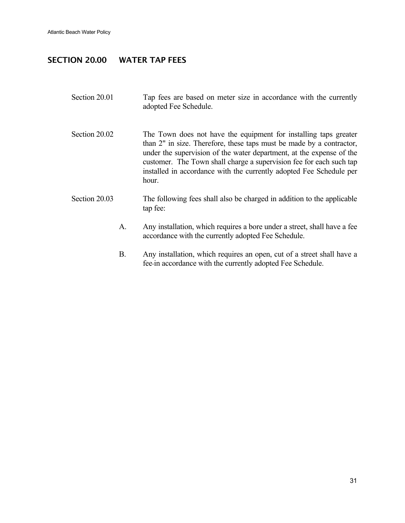### SECTION 20.00 WATER TAP FEES

- Section 20.01 Tap fees are based on meter size in accordance with the currently adopted Fee Schedule.
- Section 20.02 The Town does not have the equipment for installing taps greater than 2" in size. Therefore, these taps must be made by a contractor, under the supervision of the water department, at the expense of the customer. The Town shall charge a supervision fee for each such tap installed in accordance with the currently adopted Fee Schedule per hour.
- Section 20.03 The following fees shall also be charged in addition to the applicable tap fee:
	- A. Any installation, which requires a bore under a street, shall have a fee accordance with the currently adopted Fee Schedule.
	- B. Any installation, which requires an open, cut of a street shall have a fee in accordance with the currently adopted Fee Schedule.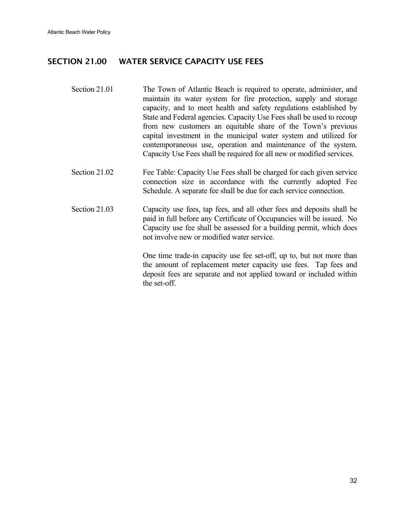### SECTION 21.00 WATER SERVICE CAPACITY USE FEES

- Section 21.01 The Town of Atlantic Beach is required to operate, administer, and maintain its water system for fire protection, supply and storage capacity, and to meet health and safety regulations established by State and Federal agencies. Capacity Use Fees shall be used to recoup from new customers an equitable share of the Town's previous capital investment in the municipal water system and utilized for contemporaneous use, operation and maintenance of the system. Capacity Use Fees shall be required for all new or modified services.
- Section 21.02 Fee Table: Capacity Use Fees shall be charged for each given service connection size in accordance with the currently adopted Fee Schedule. A separate fee shall be due for each service connection.
- Section 21.03 Capacity use fees, tap fees, and all other fees and deposits shall be paid in full before any Certificate of Occupancies will be issued. No Capacity use fee shall be assessed for a building permit, which does not involve new or modified water service.

 One time trade-in capacity use fee set-off, up to, but not more than the amount of replacement meter capacity use fees. Tap fees and deposit fees are separate and not applied toward or included within the set-off.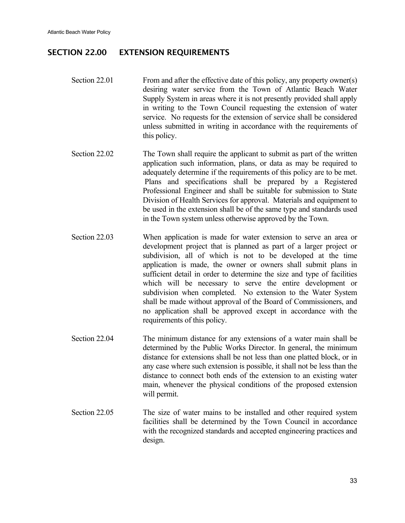#### SECTION 22.00 EXTENSION REQUIREMENTS

- Section 22.01 From and after the effective date of this policy, any property owner(s) desiring water service from the Town of Atlantic Beach Water Supply System in areas where it is not presently provided shall apply in writing to the Town Council requesting the extension of water service. No requests for the extension of service shall be considered unless submitted in writing in accordance with the requirements of this policy.
- Section 22.02 The Town shall require the applicant to submit as part of the written application such information, plans, or data as may be required to adequately determine if the requirements of this policy are to be met. Plans and specifications shall be prepared by a Registered Professional Engineer and shall be suitable for submission to State Division of Health Services for approval. Materials and equipment to be used in the extension shall be of the same type and standards used in the Town system unless otherwise approved by the Town.
- Section 22.03 When application is made for water extension to serve an area or development project that is planned as part of a larger project or subdivision, all of which is not to be developed at the time application is made, the owner or owners shall submit plans in sufficient detail in order to determine the size and type of facilities which will be necessary to serve the entire development or subdivision when completed. No extension to the Water System shall be made without approval of the Board of Commissioners, and no application shall be approved except in accordance with the requirements of this policy.
- Section 22.04 The minimum distance for any extensions of a water main shall be determined by the Public Works Director. In general, the minimum distance for extensions shall be not less than one platted block, or in any case where such extension is possible, it shall not be less than the distance to connect both ends of the extension to an existing water main, whenever the physical conditions of the proposed extension will permit.
- Section 22.05 The size of water mains to be installed and other required system facilities shall be determined by the Town Council in accordance with the recognized standards and accepted engineering practices and design.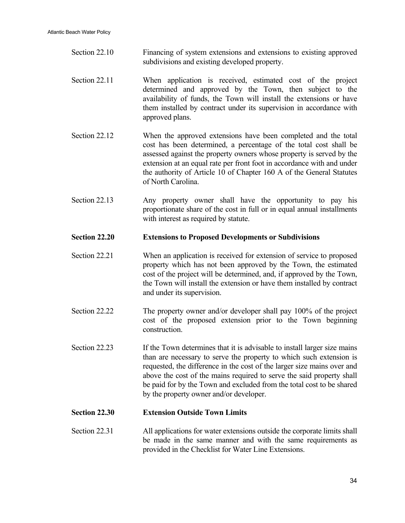- Section 22.10 Financing of system extensions and extensions to existing approved subdivisions and existing developed property.
- Section 22.11 When application is received, estimated cost of the project determined and approved by the Town, then subject to the availability of funds, the Town will install the extensions or have them installed by contract under its supervision in accordance with approved plans.
- Section 22.12 When the approved extensions have been completed and the total cost has been determined, a percentage of the total cost shall be assessed against the property owners whose property is served by the extension at an equal rate per front foot in accordance with and under the authority of Article 10 of Chapter 160 A of the General Statutes of North Carolina.
- Section 22.13 Any property owner shall have the opportunity to pay his proportionate share of the cost in full or in equal annual installments with interest as required by statute.

#### **Section 22.20 Extensions to Proposed Developments or Subdivisions**

- Section 22.21 When an application is received for extension of service to proposed property which has not been approved by the Town, the estimated cost of the project will be determined, and, if approved by the Town, the Town will install the extension or have them installed by contract and under its supervision.
- Section 22.22 The property owner and/or developer shall pay 100% of the project cost of the proposed extension prior to the Town beginning construction.
- Section 22.23 If the Town determines that it is advisable to install larger size mains than are necessary to serve the property to which such extension is requested, the difference in the cost of the larger size mains over and above the cost of the mains required to serve the said property shall be paid for by the Town and excluded from the total cost to be shared by the property owner and/or developer.

#### **Section 22.30 Extension Outside Town Limits**

Section 22.31 All applications for water extensions outside the corporate limits shall be made in the same manner and with the same requirements as provided in the Checklist for Water Line Extensions.